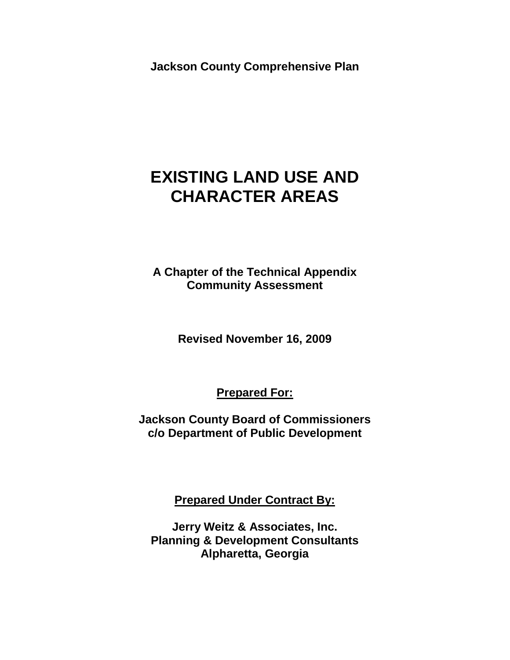**Jackson County Comprehensive Plan**

# **EXISTING LAND USE AND CHARACTER AREAS**

**A Chapter of the Technical Appendix Community Assessment** 

**Revised November 16, 2009**

**Prepared For:**

**Jackson County Board of Commissioners c/o Department of Public Development**

**Prepared Under Contract By:**

**Jerry Weitz & Associates, Inc. Planning & Development Consultants Alpharetta, Georgia**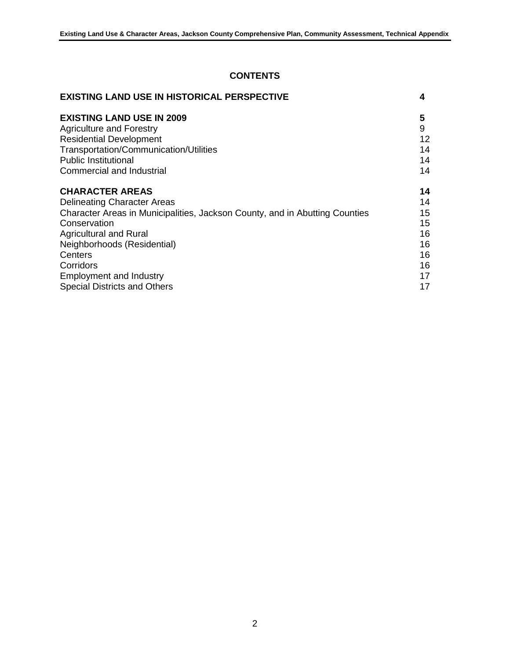# **CONTENTS**

| <b>EXISTING LAND USE IN HISTORICAL PERSPECTIVE</b>                          | 4  |
|-----------------------------------------------------------------------------|----|
| <b>EXISTING LAND USE IN 2009</b>                                            | 5  |
| <b>Agriculture and Forestry</b>                                             | 9  |
| <b>Residential Development</b>                                              | 12 |
| Transportation/Communication/Utilities                                      | 14 |
| <b>Public Institutional</b>                                                 | 14 |
| Commercial and Industrial                                                   | 14 |
| <b>CHARACTER AREAS</b>                                                      | 14 |
| <b>Delineating Character Areas</b>                                          | 14 |
| Character Areas in Municipalities, Jackson County, and in Abutting Counties | 15 |
| Conservation                                                                | 15 |
| <b>Agricultural and Rural</b>                                               | 16 |
| Neighborhoods (Residential)                                                 | 16 |
| Centers                                                                     | 16 |
| Corridors                                                                   | 16 |
| <b>Employment and Industry</b>                                              | 17 |
| Special Districts and Others                                                | 17 |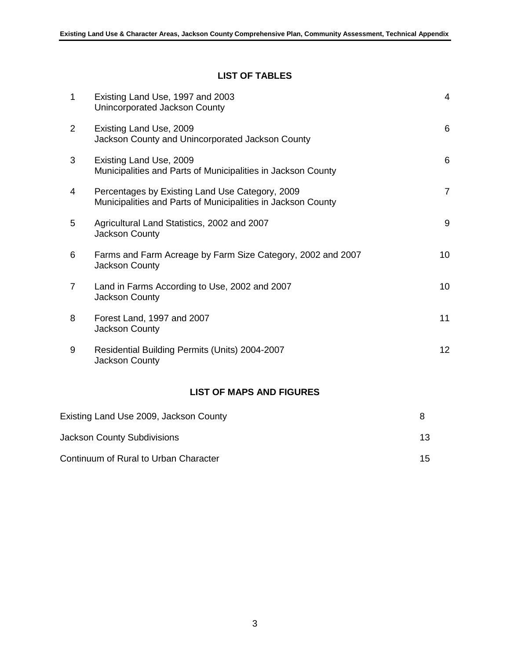# **LIST OF TABLES**

| $\mathbf{1}$ | Existing Land Use, 1997 and 2003<br>Unincorporated Jackson County                                               | $\overline{4}$ |
|--------------|-----------------------------------------------------------------------------------------------------------------|----------------|
| 2            | Existing Land Use, 2009<br>Jackson County and Unincorporated Jackson County                                     | 6              |
| 3            | Existing Land Use, 2009<br>Municipalities and Parts of Municipalities in Jackson County                         | 6              |
| 4            | Percentages by Existing Land Use Category, 2009<br>Municipalities and Parts of Municipalities in Jackson County | $\overline{7}$ |
| 5            | Agricultural Land Statistics, 2002 and 2007<br>Jackson County                                                   | 9              |
| 6            | Farms and Farm Acreage by Farm Size Category, 2002 and 2007<br>Jackson County                                   | 10             |
| 7            | Land in Farms According to Use, 2002 and 2007<br>Jackson County                                                 | 10             |
| 8            | Forest Land, 1997 and 2007<br><b>Jackson County</b>                                                             | 11             |
| 9            | Residential Building Permits (Units) 2004-2007<br><b>Jackson County</b>                                         | 12             |
|              |                                                                                                                 |                |

# **LIST OF MAPS AND FIGURES**

| Existing Land Use 2009, Jackson County |     |
|----------------------------------------|-----|
| <b>Jackson County Subdivisions</b>     | 13. |
| Continuum of Rural to Urban Character  | 15. |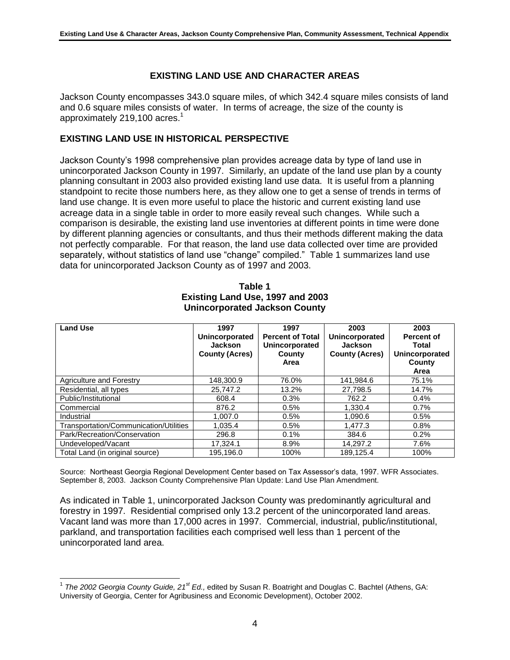#### **EXISTING LAND USE AND CHARACTER AREAS**

Jackson County encompasses 343.0 square miles, of which 342.4 square miles consists of land and 0.6 square miles consists of water. In terms of acreage, the size of the county is approximately 219,100 acres.<sup>1</sup>

#### **EXISTING LAND USE IN HISTORICAL PERSPECTIVE**

Jackson County's 1998 comprehensive plan provides acreage data by type of land use in unincorporated Jackson County in 1997. Similarly, an update of the land use plan by a county planning consultant in 2003 also provided existing land use data. It is useful from a planning standpoint to recite those numbers here, as they allow one to get a sense of trends in terms of land use change. It is even more useful to place the historic and current existing land use acreage data in a single table in order to more easily reveal such changes. While such a comparison is desirable, the existing land use inventories at different points in time were done by different planning agencies or consultants, and thus their methods different making the data not perfectly comparable. For that reason, the land use data collected over time are provided separately, without statistics of land use "change" compiled." Table 1 summarizes land use data for unincorporated Jackson County as of 1997 and 2003.

| Table 1                              |  |
|--------------------------------------|--|
| Existing Land Use, 1997 and 2003     |  |
| <b>Unincorporated Jackson County</b> |  |
|                                      |  |

**Table 1**

| <b>Land Use</b>                        | 1997                  | 1997                    | 2003                  | 2003              |  |
|----------------------------------------|-----------------------|-------------------------|-----------------------|-------------------|--|
|                                        | Unincorporated        | <b>Percent of Total</b> | Unincorporated        | <b>Percent of</b> |  |
|                                        | Jackson               | Unincorporated          | <b>Jackson</b>        | Total             |  |
|                                        | <b>County (Acres)</b> | County                  | <b>County (Acres)</b> | Unincorporated    |  |
|                                        |                       | Area                    |                       | County            |  |
|                                        |                       |                         |                       | Area              |  |
| Agriculture and Forestry               | 148.300.9             | 76.0%                   | 141.984.6             | 75.1%             |  |
| Residential, all types                 | 25.747.2              | 13.2%                   | 27.798.5              | 14.7%             |  |
| Public/Institutional                   | 608.4                 | 0.3%                    | 762.2                 | $0.4\%$           |  |
| Commercial                             | 876.2                 | 0.5%                    | 1.330.4               | 0.7%              |  |
| Industrial                             | 1.007.0               | 0.5%                    | 1.090.6               | 0.5%              |  |
| Transportation/Communication/Utilities | 1.035.4               | 0.5%                    | 1,477.3               | $0.8\%$           |  |
| Park/Recreation/Conservation           | 296.8                 | 0.1%                    | 384.6                 | 0.2%              |  |
| Undeveloped/Vacant                     | 17.324.1              | 8.9%                    | 14.297.2              | 7.6%              |  |
| Total Land (in original source)        | 195.196.0             | 100%                    | 189.125.4             | 100%              |  |

Source: Northeast Georgia Regional Development Center based on Tax Assessor's data, 1997. WFR Associates. September 8, 2003. Jackson County Comprehensive Plan Update: Land Use Plan Amendment.

As indicated in Table 1, unincorporated Jackson County was predominantly agricultural and forestry in 1997. Residential comprised only 13.2 percent of the unincorporated land areas. Vacant land was more than 17,000 acres in 1997. Commercial, industrial, public/institutional, parkland, and transportation facilities each comprised well less than 1 percent of the unincorporated land area.

 $\overline{a}$ <sup>1</sup> The 2002 Georgia County Guide, 21<sup>st</sup> Ed., edited by Susan R. Boatright and Douglas C. Bachtel (Athens, GA: University of Georgia, Center for Agribusiness and Economic Development), October 2002.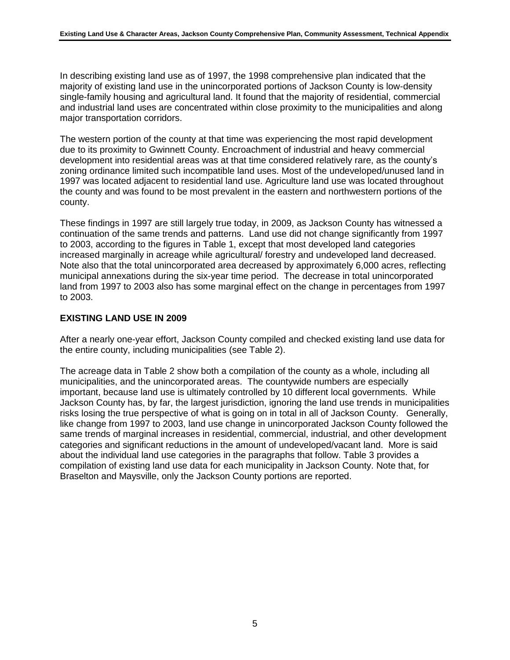In describing existing land use as of 1997, the 1998 comprehensive plan indicated that the majority of existing land use in the unincorporated portions of Jackson County is low-density single-family housing and agricultural land. It found that the majority of residential, commercial and industrial land uses are concentrated within close proximity to the municipalities and along major transportation corridors.

The western portion of the county at that time was experiencing the most rapid development due to its proximity to Gwinnett County. Encroachment of industrial and heavy commercial development into residential areas was at that time considered relatively rare, as the county's zoning ordinance limited such incompatible land uses. Most of the undeveloped/unused land in 1997 was located adjacent to residential land use. Agriculture land use was located throughout the county and was found to be most prevalent in the eastern and northwestern portions of the county.

These findings in 1997 are still largely true today, in 2009, as Jackson County has witnessed a continuation of the same trends and patterns. Land use did not change significantly from 1997 to 2003, according to the figures in Table 1, except that most developed land categories increased marginally in acreage while agricultural/ forestry and undeveloped land decreased. Note also that the total unincorporated area decreased by approximately 6,000 acres, reflecting municipal annexations during the six-year time period. The decrease in total unincorporated land from 1997 to 2003 also has some marginal effect on the change in percentages from 1997 to 2003.

#### **EXISTING LAND USE IN 2009**

After a nearly one-year effort, Jackson County compiled and checked existing land use data for the entire county, including municipalities (see Table 2).

The acreage data in Table 2 show both a compilation of the county as a whole, including all municipalities, and the unincorporated areas. The countywide numbers are especially important, because land use is ultimately controlled by 10 different local governments. While Jackson County has, by far, the largest jurisdiction, ignoring the land use trends in municipalities risks losing the true perspective of what is going on in total in all of Jackson County. Generally, like change from 1997 to 2003, land use change in unincorporated Jackson County followed the same trends of marginal increases in residential, commercial, industrial, and other development categories and significant reductions in the amount of undeveloped/vacant land. More is said about the individual land use categories in the paragraphs that follow. Table 3 provides a compilation of existing land use data for each municipality in Jackson County. Note that, for Braselton and Maysville, only the Jackson County portions are reported.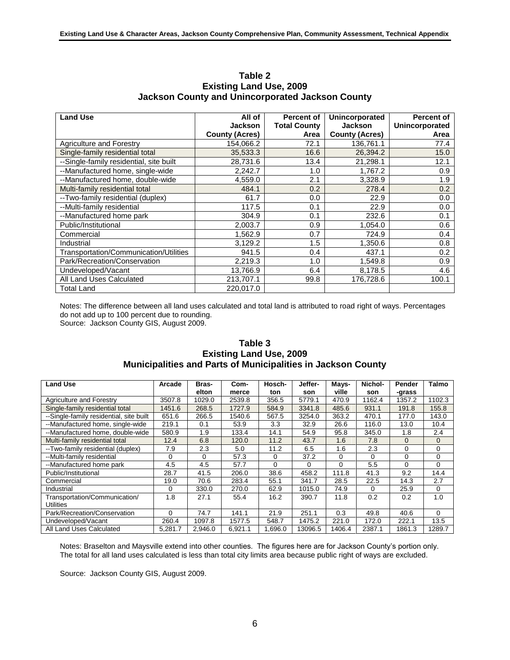| <b>Land Use</b>                         | All of                | <b>Percent of</b>   | Unincorporated        | <b>Percent of</b> |
|-----------------------------------------|-----------------------|---------------------|-----------------------|-------------------|
|                                         | <b>Jackson</b>        | <b>Total County</b> | <b>Jackson</b>        | Unincorporated    |
|                                         | <b>County (Acres)</b> | Area                | <b>County (Acres)</b> | Area              |
| <b>Agriculture and Forestry</b>         | 154,066.2             | 72.1                | 136,761.1             | 77.4              |
| Single-family residential total         | 35,533.3              | 16.6                | 26,394.2              | 15.0              |
| --Single-family residential, site built | 28,731.6              | 13.4                | 21,298.1              | 12.1              |
| --Manufactured home, single-wide        | 2,242.7               | 1.0                 | 1,767.2               | 0.9               |
| --Manufactured home, double-wide        | 4,559.0               | 2.1                 | 3,328.9               | 1.9               |
| Multi-family residential total          | 484.1                 | 0.2                 | 278.4                 | 0.2               |
| --Two-family residential (duplex)       | 61.7                  | 0.0                 | 22.9                  | 0.0               |
| --Multi-family residential              | 117.5                 | 0.1                 | 22.9                  | 0.0               |
| --Manufactured home park                | 304.9                 | 0.1                 | 232.6                 | 0.1               |
| Public/Institutional                    | 2.003.7               | 0.9                 | 1.054.0               | 0.6               |
| Commercial                              | 1,562.9               | 0.7                 | 724.9                 | 0.4               |
| Industrial                              | 3,129.2               | 1.5                 | 1,350.6               | 0.8               |
| Transportation/Communication/Utilities  | 941.5                 | 0.4                 | 437.1                 | 0.2               |
| Park/Recreation/Conservation            | 2,219.3               | 1.0                 | 1,549.8               | 0.9               |
| Undeveloped/Vacant                      | 13,766.9              | 6.4                 | 8,178.5               | 4.6               |
| All Land Uses Calculated                | 213,707.1             | 99.8                | 176,728.6             | 100.1             |
| Total Land                              | 220.017.0             |                     |                       |                   |

#### **Table 2 Existing Land Use, 2009 Jackson County and Unincorporated Jackson County**

Notes: The difference between all land uses calculated and total land is attributed to road right of ways. Percentages do not add up to 100 percent due to rounding.

Source: Jackson County GIS, August 2009.

#### **Table 3 Existing Land Use, 2009 Municipalities and Parts of Municipalities in Jackson County**

| <b>Land Use</b>                         | Arcade   | Bras-   | Com-    | Hosch-   | Jeffer-  | Mays-    | Nichol-  | Pender | <b>Talmo</b> |
|-----------------------------------------|----------|---------|---------|----------|----------|----------|----------|--------|--------------|
|                                         |          | elton   | merce   | ton      | son      | ville    | son      | -grass |              |
| Agriculture and Forestry                | 3507.8   | 1029.0  | 2539.8  | 356.5    | 5779.1   | 470.9    | 1162.4   | 1357.2 | 1102.3       |
| Single-family residential total         | 1451.6   | 268.5   | 1727.9  | 584.9    | 3341.8   | 485.6    | 931.1    | 191.8  | 155.8        |
| --Single-family residential, site built | 651.6    | 266.5   | 1540.6  | 567.5    | 3254.0   | 363.2    | 470.1    | 177.0  | 143.0        |
| --Manufactured home, single-wide        | 219.1    | 0.1     | 53.9    | 3.3      | 32.9     | 26.6     | 116.0    | 13.0   | 10.4         |
| --Manufactured home, double-wide        | 580.9    | 1.9     | 133.4   | 14.1     | 54.9     | 95.8     | 345.0    | 1.8    | 2.4          |
| Multi-family residential total          | 12.4     | 6.8     | 120.0   | 11.2     | 43.7     | 1.6      | 7.8      | 0      | $\Omega$     |
| --Two-family residential (duplex)       | 7.9      | 2.3     | 5.0     | 11.2     | 6.5      | 1.6      | 2.3      | 0      | 0            |
| --Multi-family residential              | 0        | 0       | 57.3    | 0        | 37.2     | $\Omega$ | $\Omega$ | 0      | 0            |
| --Manufactured home park                | 4.5      | 4.5     | 57.7    | $\Omega$ | $\Omega$ | $\Omega$ | 5.5      | 0      | $\Omega$     |
| Public/Institutional                    | 28.7     | 41.5    | 206.0   | 38.6     | 458.2    | 111.8    | 41.3     | 9.2    | 14.4         |
| Commercial                              | 19.0     | 70.6    | 283.4   | 55.1     | 341.7    | 28.5     | 22.5     | 14.3   | 2.7          |
| Industrial                              | 0        | 330.0   | 270.0   | 62.9     | 1015.0   | 74.9     | 0        | 25.9   | $\mathbf 0$  |
| Transportation/Communication/           | 1.8      | 27.1    | 55.4    | 16.2     | 390.7    | 11.8     | 0.2      | 0.2    | 1.0          |
| <b>Utilities</b>                        |          |         |         |          |          |          |          |        |              |
| Park/Recreation/Conservation            | $\Omega$ | 74.7    | 141.1   | 21.9     | 251.1    | 0.3      | 49.8     | 40.6   | 0            |
| Undeveloped/Vacant                      | 260.4    | 1097.8  | 1577.5  | 548.7    | 1475.2   | 221.0    | 172.0    | 222.1  | 13.5         |
| All Land Uses Calculated                | 5,281.7  | 2,946.0 | 6,921.1 | 1,696.0  | 13096.5  | 1406.4   | 2387.1   | 1861.3 | 1289.7       |

Notes: Braselton and Maysville extend into other counties. The figures here are for Jackson County's portion only. The total for all land uses calculated is less than total city limits area because public right of ways are excluded.

Source: Jackson County GIS, August 2009.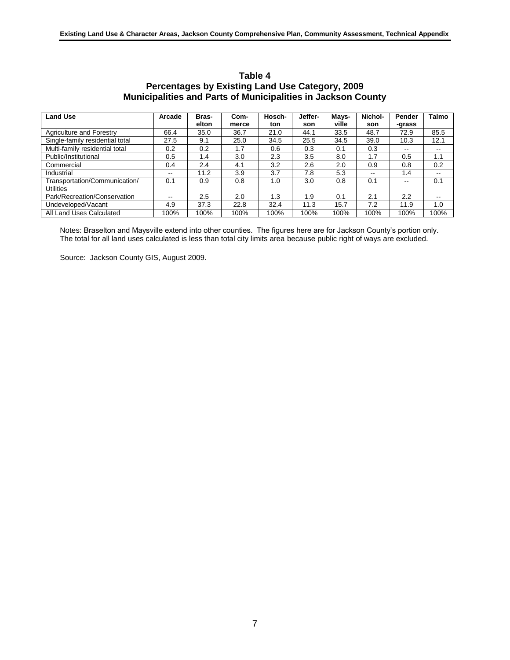| Table 4                                                             |
|---------------------------------------------------------------------|
| Percentages by Existing Land Use Category, 2009                     |
| <b>Municipalities and Parts of Municipalities in Jackson County</b> |
|                                                                     |

| <b>Land Use</b>                 | Arcade        | Bras- | Com-  | Hosch- | Jeffer- | Mays- | Nichol- | Pender | <b>Talmo</b>             |
|---------------------------------|---------------|-------|-------|--------|---------|-------|---------|--------|--------------------------|
|                                 |               | elton | merce | ton    | son     | ville | son     | -grass |                          |
| Agriculture and Forestry        | 66.4          | 35.0  | 36.7  | 21.0   | 44.1    | 33.5  | 48.7    | 72.9   | 85.5                     |
| Single-family residential total | 27.5          | 9.1   | 25.0  | 34.5   | 25.5    | 34.5  | 39.0    | 10.3   | 12.1                     |
| Multi-family residential total  | 0.2           | 0.2   | 1.7   | 0.6    | 0.3     | 0.1   | 0.3     | --     |                          |
| Public/Institutional            | 0.5           | 1.4   | 3.0   | 2.3    | 3.5     | 8.0   | 1.7     | 0.5    | 1.1                      |
| Commercial                      | 0.4           | 2.4   | 4.1   | 3.2    | 2.6     | 2.0   | 0.9     | 0.8    | 0.2                      |
| Industrial                      | $\sim$ $\sim$ | 11.2  | 3.9   | 3.7    | 7.8     | 5.3   | --      | 1.4    | $\overline{\phantom{a}}$ |
| Transportation/Communication/   | 0.1           | 0.9   | 0.8   | 1.0    | 3.0     | 0.8   | 0.1     | --     | 0.1                      |
| <b>Utilities</b>                |               |       |       |        |         |       |         |        |                          |
| Park/Recreation/Conservation    | $\sim$ $\sim$ | 2.5   | 2.0   | 1.3    | 1.9     | 0.1   | 2.1     | 2.2    | $-$                      |
| Undeveloped/Vacant              | 4.9           | 37.3  | 22.8  | 32.4   | 11.3    | 15.7  | 7.2     | 11.9   | 1.0                      |
| All Land Uses Calculated        | 100%          | 100%  | 100%  | 100%   | 100%    | 100%  | 100%    | 100%   | 100%                     |

Notes: Braselton and Maysville extend into other counties. The figures here are for Jackson County's portion only. The total for all land uses calculated is less than total city limits area because public right of ways are excluded.

Source: Jackson County GIS, August 2009.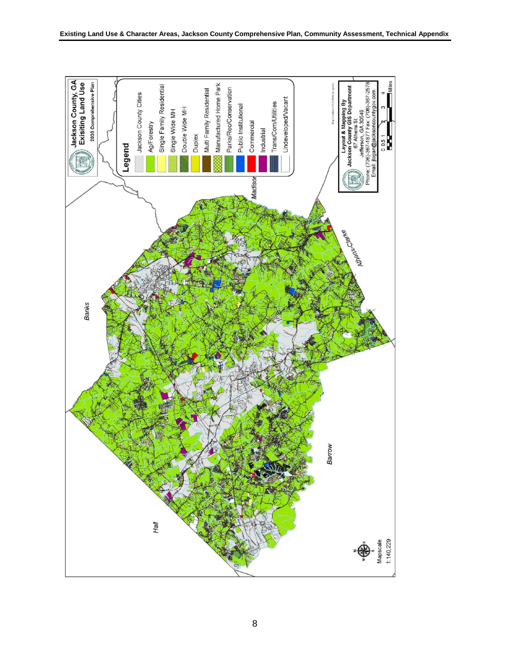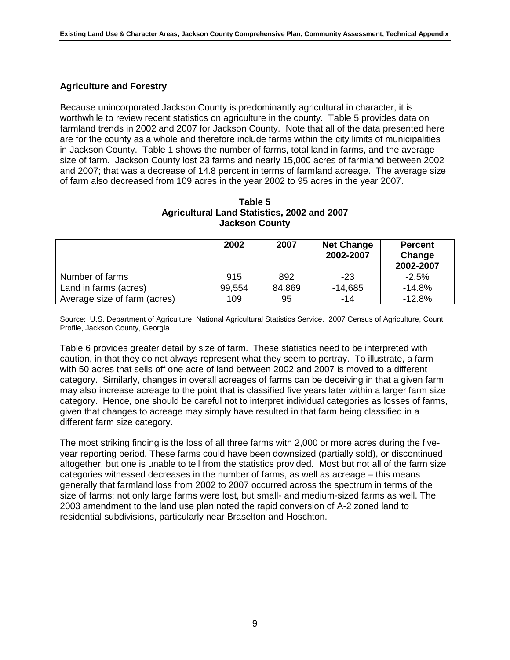#### **Agriculture and Forestry**

Because unincorporated Jackson County is predominantly agricultural in character, it is worthwhile to review recent statistics on agriculture in the county. Table 5 provides data on farmland trends in 2002 and 2007 for Jackson County. Note that all of the data presented here are for the county as a whole and therefore include farms within the city limits of municipalities in Jackson County. Table 1 shows the number of farms, total land in farms, and the average size of farm. Jackson County lost 23 farms and nearly 15,000 acres of farmland between 2002 and 2007; that was a decrease of 14.8 percent in terms of farmland acreage. The average size of farm also decreased from 109 acres in the year 2002 to 95 acres in the year 2007.

| Table 5                                     |  |
|---------------------------------------------|--|
| Agricultural Land Statistics, 2002 and 2007 |  |
| <b>Jackson County</b>                       |  |

|                              | 2002   | 2007   | <b>Net Change</b><br>2002-2007 | <b>Percent</b><br>Change<br>2002-2007 |
|------------------------------|--------|--------|--------------------------------|---------------------------------------|
| Number of farms              | 915    | 892    | $-23$                          | $-2.5%$                               |
| Land in farms (acres)        | 99,554 | 84,869 | $-14,685$                      | $-14.8%$                              |
| Average size of farm (acres) | 109    | 95     | -14                            | $-12.8%$                              |

Source: U.S. Department of Agriculture, National Agricultural Statistics Service. 2007 Census of Agriculture, Count Profile, Jackson County, Georgia.

Table 6 provides greater detail by size of farm. These statistics need to be interpreted with caution, in that they do not always represent what they seem to portray. To illustrate, a farm with 50 acres that sells off one acre of land between 2002 and 2007 is moved to a different category. Similarly, changes in overall acreages of farms can be deceiving in that a given farm may also increase acreage to the point that is classified five years later within a larger farm size category. Hence, one should be careful not to interpret individual categories as losses of farms, given that changes to acreage may simply have resulted in that farm being classified in a different farm size category.

The most striking finding is the loss of all three farms with 2,000 or more acres during the fiveyear reporting period. These farms could have been downsized (partially sold), or discontinued altogether, but one is unable to tell from the statistics provided. Most but not all of the farm size categories witnessed decreases in the number of farms, as well as acreage – this means generally that farmland loss from 2002 to 2007 occurred across the spectrum in terms of the size of farms; not only large farms were lost, but small- and medium-sized farms as well. The 2003 amendment to the land use plan noted the rapid conversion of A-2 zoned land to residential subdivisions, particularly near Braselton and Hoschton.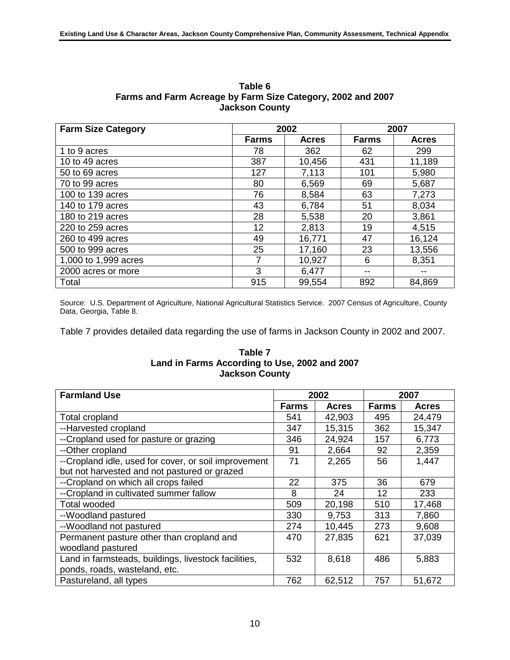| <b>Farm Size Category</b> |              | 2002         | 2007         |              |  |
|---------------------------|--------------|--------------|--------------|--------------|--|
|                           | <b>Farms</b> | <b>Acres</b> | <b>Farms</b> | <b>Acres</b> |  |
| 1 to 9 acres              | 78           | 362          | 62           | 299          |  |
| 10 to 49 acres            | 387          | 10,456       | 431          | 11,189       |  |
| 50 to 69 acres            | 127          | 7,113        | 101          | 5,980        |  |
| 70 to 99 acres            | 80           | 6,569        | 69           | 5,687        |  |
| 100 to 139 acres          | 76           | 8,584        | 63           | 7,273        |  |
| 140 to 179 acres          | 43           | 6,784        | 51           | 8,034        |  |
| 180 to 219 acres          | 28           | 5,538        | 20           | 3,861        |  |
| 220 to 259 acres          | 12           | 2,813        | 19           | 4,515        |  |
| 260 to 499 acres          | 49           | 16,771       | 47           | 16,124       |  |
| 500 to 999 acres          | 25           | 17,160       | 23           | 13,556       |  |
| 1,000 to 1,999 acres      | 7            | 10,927       | 6            | 8,351        |  |
| 2000 acres or more        | 3            | 6,477        | --           |              |  |
| Total                     | 915          | 99,554       | 892          | 84,869       |  |

**Table 6 Farms and Farm Acreage by Farm Size Category, 2002 and 2007 Jackson County**

Source: U.S. Department of Agriculture, National Agricultural Statistics Service. 2007 Census of Agriculture, County Data, Georgia, Table 8.

Table 7 provides detailed data regarding the use of farms in Jackson County in 2002 and 2007.

#### **Table 7 Land in Farms According to Use, 2002 and 2007 Jackson County**

| <b>Farmland Use</b>                                  | 2002         |              | 2007         |              |
|------------------------------------------------------|--------------|--------------|--------------|--------------|
|                                                      | <b>Farms</b> | <b>Acres</b> | <b>Farms</b> | <b>Acres</b> |
| <b>Total cropland</b>                                | 541          | 42,903       | 495          | 24,479       |
| --Harvested cropland                                 | 347          | 15,315       | 362          | 15,347       |
| --Cropland used for pasture or grazing               | 346          | 24,924       | 157          | 6,773        |
| --Other cropland                                     | 91           | 2,664        | 92           | 2,359        |
| --Cropland idle, used for cover, or soil improvement | 71           | 2,265        | 56           | 1,447        |
| but not harvested and not pastured or grazed         |              |              |              |              |
| --Cropland on which all crops failed                 | 22           | 375          | 36           | 679          |
| --Cropland in cultivated summer fallow               | 8            | 24           | 12           | 233          |
| <b>Total wooded</b>                                  | 509          | 20,198       | 510          | 17,468       |
| --Woodland pastured                                  | 330          | 9,753        | 313          | 7,860        |
| --Woodland not pastured                              | 274          | 10,445       | 273          | 9,608        |
| Permanent pasture other than cropland and            | 470          | 27,835       | 621          | 37,039       |
| woodland pastured                                    |              |              |              |              |
| Land in farmsteads, buildings, livestock facilities, | 532          | 8,618        | 486          | 5,883        |
| ponds, roads, wasteland, etc.                        |              |              |              |              |
| Pastureland, all types                               | 762          | 62,512       | 757          | 51,672       |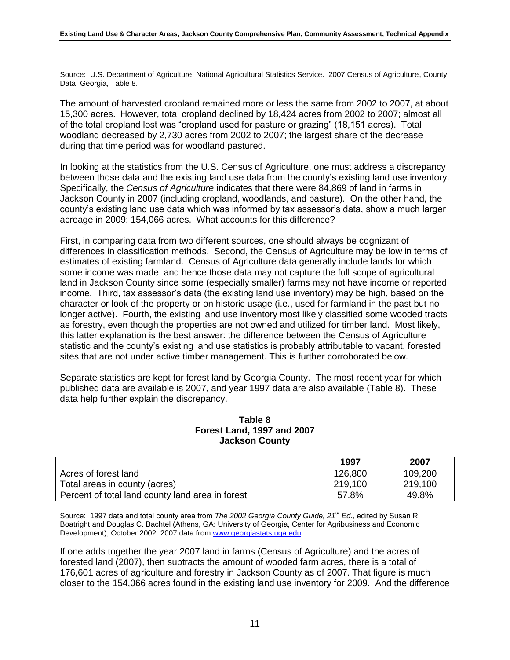Source: U.S. Department of Agriculture, National Agricultural Statistics Service. 2007 Census of Agriculture, County Data, Georgia, Table 8.

The amount of harvested cropland remained more or less the same from 2002 to 2007, at about 15,300 acres. However, total cropland declined by 18,424 acres from 2002 to 2007; almost all of the total cropland lost was "cropland used for pasture or grazing" (18,151 acres). Total woodland decreased by 2,730 acres from 2002 to 2007; the largest share of the decrease during that time period was for woodland pastured.

In looking at the statistics from the U.S. Census of Agriculture, one must address a discrepancy between those data and the existing land use data from the county's existing land use inventory. Specifically, the *Census of Agriculture* indicates that there were 84,869 of land in farms in Jackson County in 2007 (including cropland, woodlands, and pasture). On the other hand, the county's existing land use data which was informed by tax assessor's data, show a much larger acreage in 2009: 154,066 acres. What accounts for this difference?

First, in comparing data from two different sources, one should always be cognizant of differences in classification methods. Second, the Census of Agriculture may be low in terms of estimates of existing farmland. Census of Agriculture data generally include lands for which some income was made, and hence those data may not capture the full scope of agricultural land in Jackson County since some (especially smaller) farms may not have income or reported income. Third, tax assessor's data (the existing land use inventory) may be high, based on the character or look of the property or on historic usage (i.e., used for farmland in the past but no longer active). Fourth, the existing land use inventory most likely classified some wooded tracts as forestry, even though the properties are not owned and utilized for timber land. Most likely, this latter explanation is the best answer: the difference between the Census of Agriculture statistic and the county's existing land use statistics is probably attributable to vacant, forested sites that are not under active timber management. This is further corroborated below.

Separate statistics are kept for forest land by Georgia County. The most recent year for which published data are available is 2007, and year 1997 data are also available (Table 8). These data help further explain the discrepancy.

#### **Table 8 Forest Land, 1997 and 2007 Jackson County**

|                                                  | 1997    | 2007    |
|--------------------------------------------------|---------|---------|
| Acres of forest land                             | 126,800 | 109,200 |
| Total areas in county (acres)                    | 219,100 | 219,100 |
| Percent of total land county land area in forest | 57.8%   | 49.8%   |

Source: 1997 data and total county area from *The 2002 Georgia County Guide, 21st Ed.,* edited by Susan R. Boatright and Douglas C. Bachtel (Athens, GA: University of Georgia, Center for Agribusiness and Economic Development), October 2002. 2007 data fro[m www.georgiastats.uga.edu.](http://www.georgiastats.uga.edu/)

If one adds together the year 2007 land in farms (Census of Agriculture) and the acres of forested land (2007), then subtracts the amount of wooded farm acres, there is a total of 176,601 acres of agriculture and forestry in Jackson County as of 2007. That figure is much closer to the 154,066 acres found in the existing land use inventory for 2009. And the difference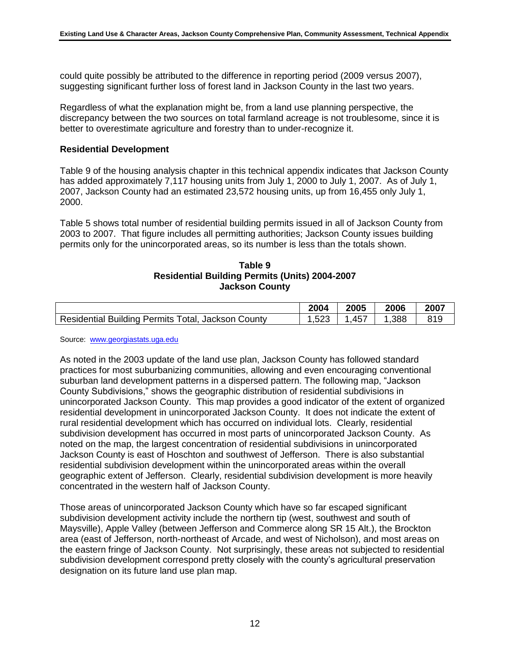could quite possibly be attributed to the difference in reporting period (2009 versus 2007), suggesting significant further loss of forest land in Jackson County in the last two years.

Regardless of what the explanation might be, from a land use planning perspective, the discrepancy between the two sources on total farmland acreage is not troublesome, since it is better to overestimate agriculture and forestry than to under-recognize it.

#### **Residential Development**

Table 9 of the housing analysis chapter in this technical appendix indicates that Jackson County has added approximately 7,117 housing units from July 1, 2000 to July 1, 2007. As of July 1, 2007, Jackson County had an estimated 23,572 housing units, up from 16,455 only July 1, 2000.

Table 5 shows total number of residential building permits issued in all of Jackson County from 2003 to 2007. That figure includes all permitting authorities; Jackson County issues building permits only for the unincorporated areas, so its number is less than the totals shown.

#### **Table 9 Residential Building Permits (Units) 2004-2007 Jackson County**

|                                                    | 2004 | 2005 | 2006 | 2007 |
|----------------------------------------------------|------|------|------|------|
| Residential Building Permits Total, Jackson County | .523 | .457 | .388 | 819  |

Source: [www.georgiastats.uga.edu](http://www.georgiastats.uga.edu/)

As noted in the 2003 update of the land use plan, Jackson County has followed standard practices for most suburbanizing communities, allowing and even encouraging conventional suburban land development patterns in a dispersed pattern. The following map, "Jackson County Subdivisions," shows the geographic distribution of residential subdivisions in unincorporated Jackson County. This map provides a good indicator of the extent of organized residential development in unincorporated Jackson County. It does not indicate the extent of rural residential development which has occurred on individual lots. Clearly, residential subdivision development has occurred in most parts of unincorporated Jackson County. As noted on the map, the largest concentration of residential subdivisions in unincorporated Jackson County is east of Hoschton and southwest of Jefferson. There is also substantial residential subdivision development within the unincorporated areas within the overall geographic extent of Jefferson. Clearly, residential subdivision development is more heavily concentrated in the western half of Jackson County.

Those areas of unincorporated Jackson County which have so far escaped significant subdivision development activity include the northern tip (west, southwest and south of Maysville), Apple Valley (between Jefferson and Commerce along SR 15 Alt.), the Brockton area (east of Jefferson, north-northeast of Arcade, and west of Nicholson), and most areas on the eastern fringe of Jackson County. Not surprisingly, these areas not subjected to residential subdivision development correspond pretty closely with the county's agricultural preservation designation on its future land use plan map.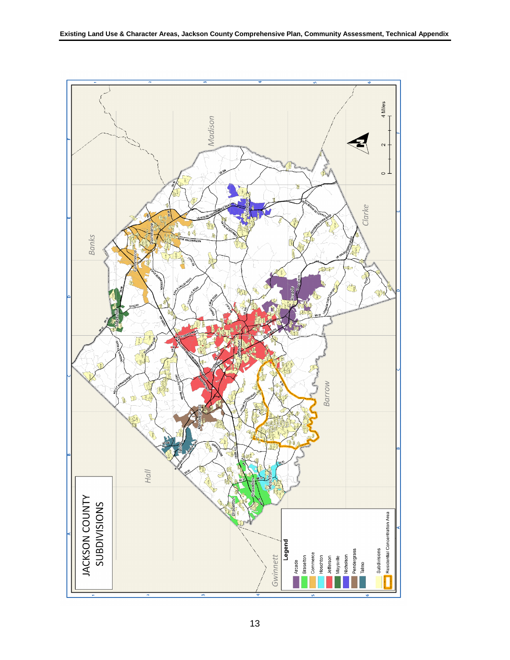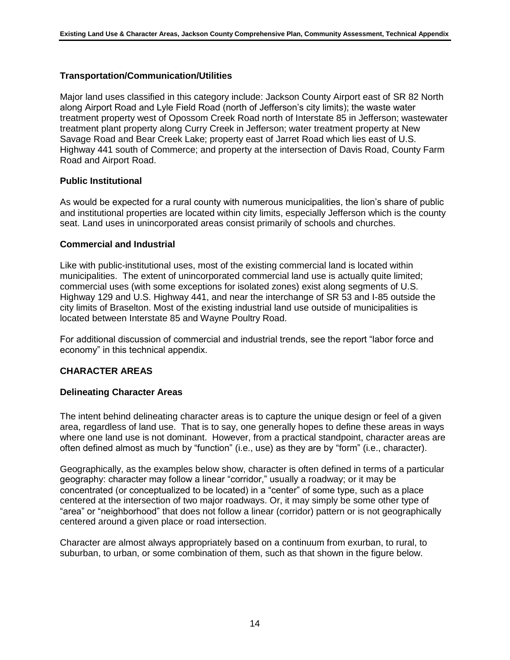#### **Transportation/Communication/Utilities**

Major land uses classified in this category include: Jackson County Airport east of SR 82 North along Airport Road and Lyle Field Road (north of Jefferson's city limits); the waste water treatment property west of Opossom Creek Road north of Interstate 85 in Jefferson; wastewater treatment plant property along Curry Creek in Jefferson; water treatment property at New Savage Road and Bear Creek Lake; property east of Jarret Road which lies east of U.S. Highway 441 south of Commerce; and property at the intersection of Davis Road, County Farm Road and Airport Road.

#### **Public Institutional**

As would be expected for a rural county with numerous municipalities, the lion's share of public and institutional properties are located within city limits, especially Jefferson which is the county seat. Land uses in unincorporated areas consist primarily of schools and churches.

#### **Commercial and Industrial**

Like with public-institutional uses, most of the existing commercial land is located within municipalities. The extent of unincorporated commercial land use is actually quite limited; commercial uses (with some exceptions for isolated zones) exist along segments of U.S. Highway 129 and U.S. Highway 441, and near the interchange of SR 53 and I-85 outside the city limits of Braselton. Most of the existing industrial land use outside of municipalities is located between Interstate 85 and Wayne Poultry Road.

For additional discussion of commercial and industrial trends, see the report "labor force and economy" in this technical appendix.

#### **CHARACTER AREAS**

#### **Delineating Character Areas**

The intent behind delineating character areas is to capture the unique design or feel of a given area, regardless of land use. That is to say, one generally hopes to define these areas in ways where one land use is not dominant. However, from a practical standpoint, character areas are often defined almost as much by "function" (i.e., use) as they are by "form" (i.e., character).

Geographically, as the examples below show, character is often defined in terms of a particular geography: character may follow a linear "corridor," usually a roadway; or it may be concentrated (or conceptualized to be located) in a "center" of some type, such as a place centered at the intersection of two major roadways. Or, it may simply be some other type of "area" or "neighborhood" that does not follow a linear (corridor) pattern or is not geographically centered around a given place or road intersection.

Character are almost always appropriately based on a continuum from exurban, to rural, to suburban, to urban, or some combination of them, such as that shown in the figure below.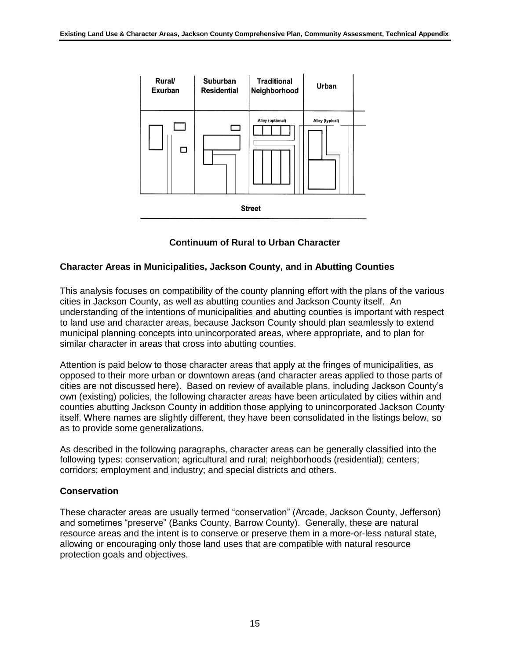

**Continuum of Rural to Urban Character**

### **Character Areas in Municipalities, Jackson County, and in Abutting Counties**

This analysis focuses on compatibility of the county planning effort with the plans of the various cities in Jackson County, as well as abutting counties and Jackson County itself. An understanding of the intentions of municipalities and abutting counties is important with respect to land use and character areas, because Jackson County should plan seamlessly to extend municipal planning concepts into unincorporated areas, where appropriate, and to plan for similar character in areas that cross into abutting counties.

Attention is paid below to those character areas that apply at the fringes of municipalities, as opposed to their more urban or downtown areas (and character areas applied to those parts of cities are not discussed here). Based on review of available plans, including Jackson County's own (existing) policies, the following character areas have been articulated by cities within and counties abutting Jackson County in addition those applying to unincorporated Jackson County itself. Where names are slightly different, they have been consolidated in the listings below, so as to provide some generalizations.

As described in the following paragraphs, character areas can be generally classified into the following types: conservation; agricultural and rural; neighborhoods (residential); centers; corridors; employment and industry; and special districts and others.

#### **Conservation**

These character areas are usually termed "conservation" (Arcade, Jackson County, Jefferson) and sometimes "preserve" (Banks County, Barrow County). Generally, these are natural resource areas and the intent is to conserve or preserve them in a more-or-less natural state, allowing or encouraging only those land uses that are compatible with natural resource protection goals and objectives.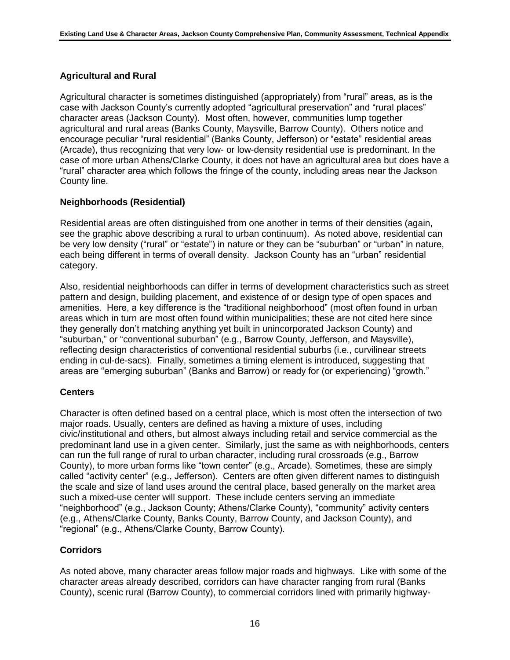# **Agricultural and Rural**

Agricultural character is sometimes distinguished (appropriately) from "rural" areas, as is the case with Jackson County's currently adopted "agricultural preservation" and "rural places" character areas (Jackson County). Most often, however, communities lump together agricultural and rural areas (Banks County, Maysville, Barrow County). Others notice and encourage peculiar "rural residential" (Banks County, Jefferson) or "estate" residential areas (Arcade), thus recognizing that very low- or low-density residential use is predominant. In the case of more urban Athens/Clarke County, it does not have an agricultural area but does have a "rural" character area which follows the fringe of the county, including areas near the Jackson County line.

# **Neighborhoods (Residential)**

Residential areas are often distinguished from one another in terms of their densities (again, see the graphic above describing a rural to urban continuum). As noted above, residential can be very low density ("rural" or "estate") in nature or they can be "suburban" or "urban" in nature, each being different in terms of overall density. Jackson County has an "urban" residential category.

Also, residential neighborhoods can differ in terms of development characteristics such as street pattern and design, building placement, and existence of or design type of open spaces and amenities. Here, a key difference is the "traditional neighborhood" (most often found in urban areas which in turn are most often found within municipalities; these are not cited here since they generally don't matching anything yet built in unincorporated Jackson County) and "suburban," or "conventional suburban" (e.g., Barrow County, Jefferson, and Maysville), reflecting design characteristics of conventional residential suburbs (i.e., curvilinear streets ending in cul-de-sacs). Finally, sometimes a timing element is introduced, suggesting that areas are "emerging suburban" (Banks and Barrow) or ready for (or experiencing) "growth."

#### **Centers**

Character is often defined based on a central place, which is most often the intersection of two major roads. Usually, centers are defined as having a mixture of uses, including civic/institutional and others, but almost always including retail and service commercial as the predominant land use in a given center. Similarly, just the same as with neighborhoods, centers can run the full range of rural to urban character, including rural crossroads (e.g., Barrow County), to more urban forms like "town center" (e.g., Arcade). Sometimes, these are simply called "activity center" (e.g., Jefferson). Centers are often given different names to distinguish the scale and size of land uses around the central place, based generally on the market area such a mixed-use center will support. These include centers serving an immediate "neighborhood" (e.g., Jackson County; Athens/Clarke County), "community" activity centers (e.g., Athens/Clarke County, Banks County, Barrow County, and Jackson County), and "regional" (e.g., Athens/Clarke County, Barrow County).

# **Corridors**

As noted above, many character areas follow major roads and highways. Like with some of the character areas already described, corridors can have character ranging from rural (Banks County), scenic rural (Barrow County), to commercial corridors lined with primarily highway